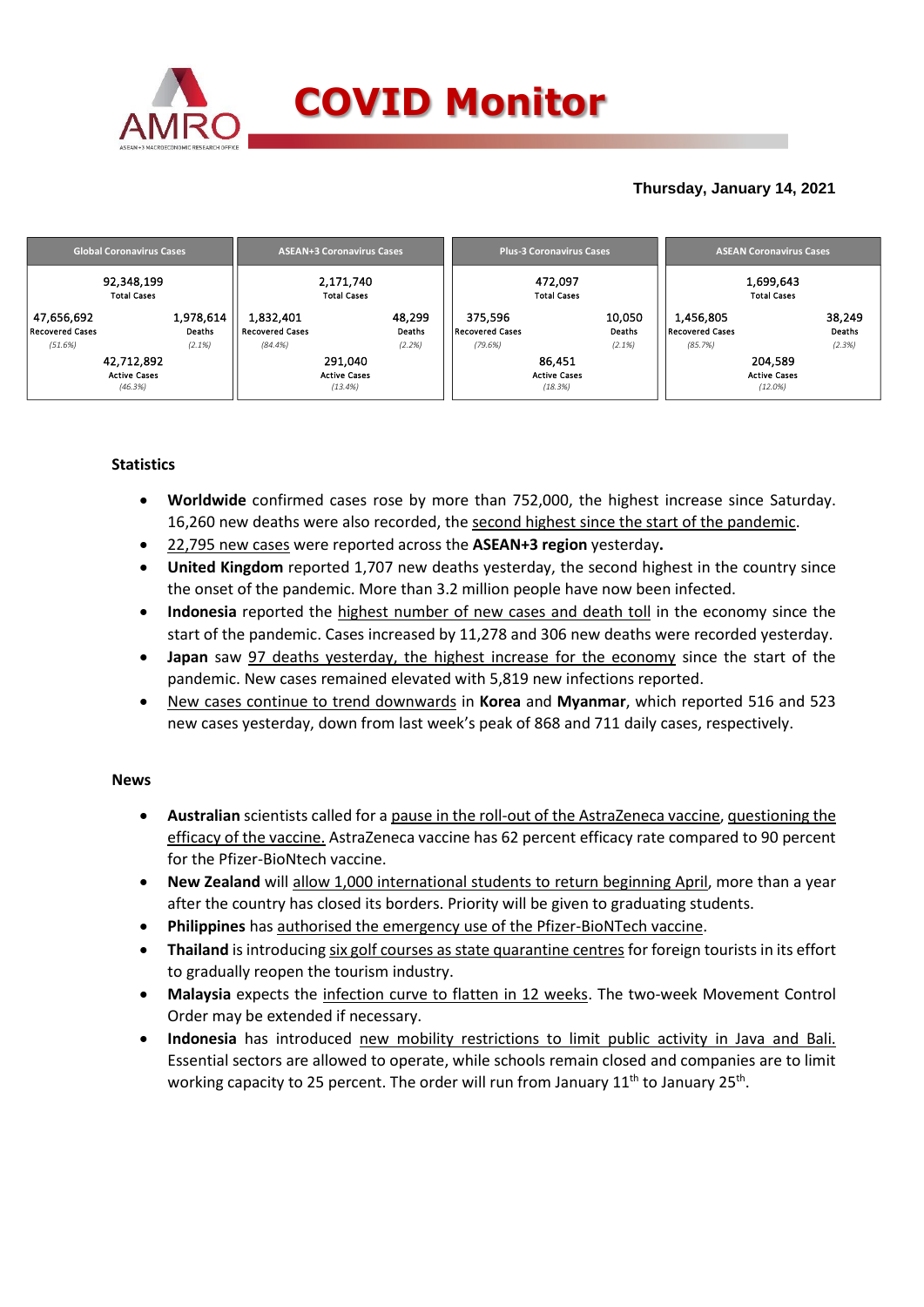

## **Thursday, January 14, 2021**

|                                      | <b>Global Coronavirus Cases</b> |                     |                                     | <b>ASEAN+3 Coronavirus Cases</b> |                  |                                   | <b>Plus-3 Coronavirus Cases</b> |                  | <b>ASEAN Coronavirus Cases</b>  |         |                         |  |
|--------------------------------------|---------------------------------|---------------------|-------------------------------------|----------------------------------|------------------|-----------------------------------|---------------------------------|------------------|---------------------------------|---------|-------------------------|--|
| 92,348,199<br><b>Total Cases</b>     |                                 |                     | 2,171,740<br><b>Total Cases</b>     |                                  |                  |                                   | 472.097<br><b>Total Cases</b>   |                  | 1,699,643<br><b>Total Cases</b> |         |                         |  |
| 47,656,692<br><b>Recovered Cases</b> |                                 | 1,978,614<br>Deaths | 1,832,401<br><b>Recovered Cases</b> |                                  | 48,299<br>Deaths | 375.596<br><b>Recovered Cases</b> |                                 | 10,050<br>Deaths | 1,456,805<br>Recovered Cases    |         | 38,249<br><b>Deaths</b> |  |
| (51.6%)                              |                                 | (2.1%)              | (84.4%)                             |                                  | (2.2%)           | (79.6%)                           |                                 | (2.1%)           | (85.7%)                         |         | (2.3%)                  |  |
| 42,712,892                           |                                 |                     | 291,040                             |                                  |                  | 86,451                            |                                 |                  | 204,589                         |         |                         |  |
| <b>Active Cases</b>                  |                                 |                     | <b>Active Cases</b>                 |                                  |                  | <b>Active Cases</b>               |                                 |                  | <b>Active Cases</b>             |         |                         |  |
|                                      | (46.3%)                         |                     |                                     | (13.4%)                          |                  |                                   | (18.3%)                         |                  |                                 | (12.0%) |                         |  |

### **Statistics**

- **Worldwide** confirmed cases rose by more than 752,000, the highest increase since Saturday. 16,260 new deaths were also recorded, the second highest since the start of the pandemic.
- 22,795 new cases were reported across the **ASEAN+3 region** yesterday**.**
- **United Kingdom** reported 1,707 new deaths yesterday, the second highest in the country since the onset of the pandemic. More than 3.2 million people have now been infected.
- **Indonesia** reported the highest number of new cases and death toll in the economy since the start of the pandemic. Cases increased by 11,278 and 306 new deaths were recorded yesterday.
- **Japan** saw 97 deaths yesterday, the highest increase for the economy since the start of the pandemic. New cases remained elevated with 5,819 new infections reported.
- New cases continue to trend downwards in **Korea** and **Myanmar**, which reported 516 and 523 new cases yesterday, down from last week's peak of 868 and 711 daily cases, respectively.

### **News**

- **Australian** scientists called for a pause in the roll-out of the AstraZeneca vaccine, questioning the efficacy of the vaccine. AstraZeneca vaccine has 62 percent efficacy rate compared to 90 percent for the Pfizer-BioNtech vaccine.
- **New Zealand** will allow 1,000 international students to return beginning April, more than a year after the country has closed its borders. Priority will be given to graduating students.
- **Philippines** has authorised the emergency use of the Pfizer-BioNTech vaccine.
- **•** Thailand is introducing six golf courses as state quarantine centres for foreign tourists in its effort to gradually reopen the tourism industry.
- **Malaysia** expects the infection curve to flatten in 12 weeks. The two-week Movement Control Order may be extended if necessary.
- **Indonesia** has introduced new mobility restrictions to limit public activity in Java and Bali. Essential sectors are allowed to operate, while schools remain closed and companies are to limit working capacity to 25 percent. The order will run from January  $11<sup>th</sup>$  to January 25<sup>th</sup>.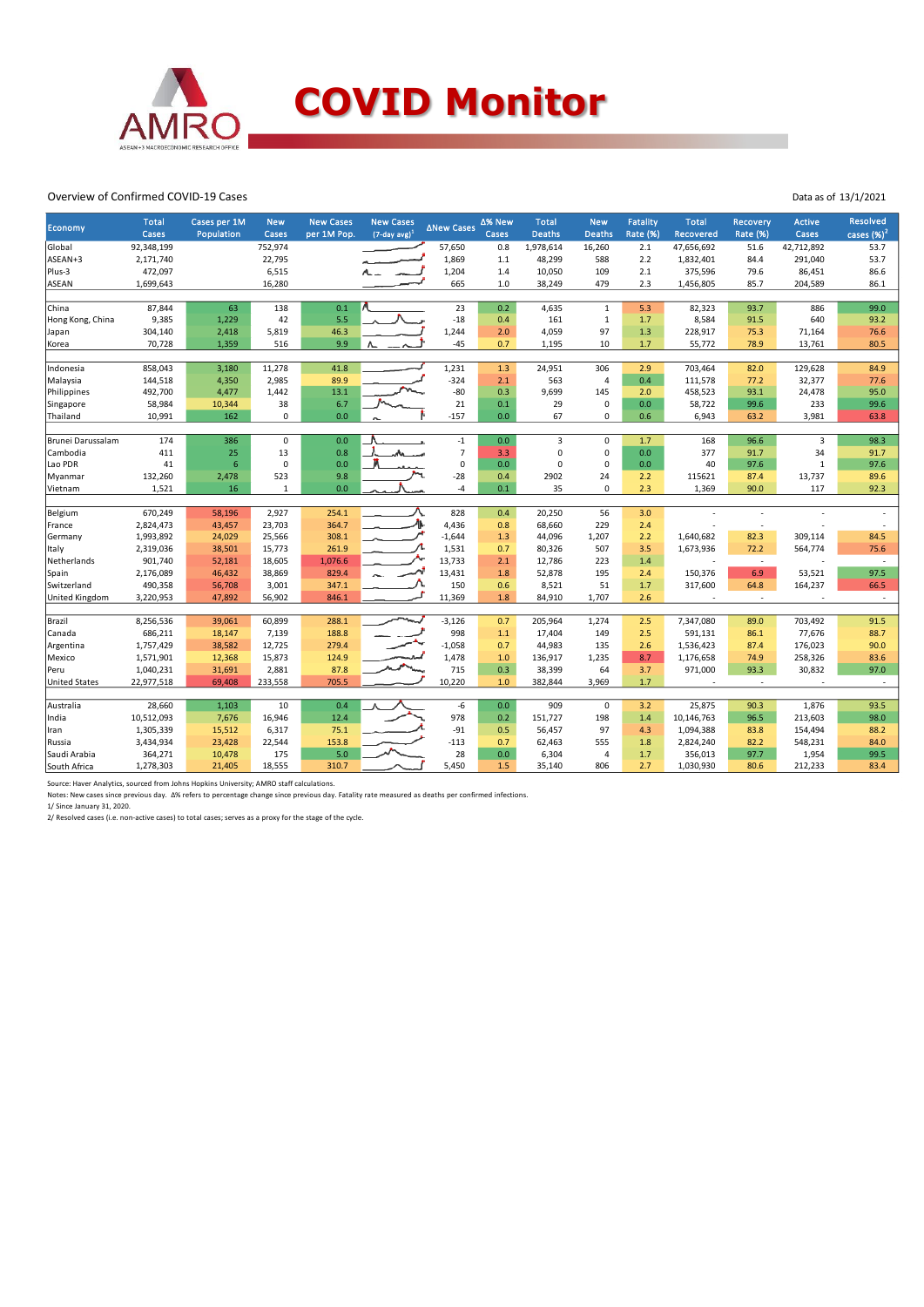

#### Overview of Confirmed COVID-19 Cases

| <b>Economy</b>        | <b>Total</b><br>Cases | Cases per 1M<br>Population | <b>New</b><br>Cases | <b>New Cases</b><br>per 1M Pop. | <b>New Cases</b><br>$(7$ -day avg $)^1$ | ∆New Cases     | ∆% New<br>Cases | <b>Total</b><br><b>Deaths</b> | <b>New</b><br><b>Deaths</b> | <b>Fatality</b><br><b>Rate (%)</b> | <b>Total</b><br>Recovered | Recovery<br><b>Rate (%)</b> | Active<br>Cases | Resolved<br>cases $(\%)^2$ |
|-----------------------|-----------------------|----------------------------|---------------------|---------------------------------|-----------------------------------------|----------------|-----------------|-------------------------------|-----------------------------|------------------------------------|---------------------------|-----------------------------|-----------------|----------------------------|
| Global                | 92,348,199            |                            | 752,974             |                                 |                                         | 57,650         | 0.8             | 1,978,614                     | 16,260                      | 2.1                                | 47,656,692                | 51.6                        | 42,712,892      | 53.7                       |
| ASEAN+3               | 2,171,740             |                            | 22,795              |                                 |                                         | 1,869          | $1.1$           | 48,299                        | 588                         | 2.2                                | 1,832,401                 | 84.4                        | 291,040         | 53.7                       |
| Plus-3                | 472,097               |                            | 6,515               |                                 |                                         | 1,204          | 1.4             | 10,050                        | 109                         | 2.1                                | 375,596                   | 79.6                        | 86,451          | 86.6                       |
| <b>ASEAN</b>          | 1,699,643             |                            | 16,280              |                                 |                                         | 665            | 1.0             | 38,249                        | 479                         | 2.3                                | 1,456,805                 | 85.7                        | 204,589         | 86.1                       |
|                       |                       |                            |                     |                                 |                                         |                |                 |                               |                             |                                    |                           |                             |                 |                            |
| China                 | 87,844                | 63                         | 138                 | 0.1                             |                                         | 23             | 0.2             | 4,635                         | $\mathbf{1}$                | 5.3                                | 82,323                    | 93.7                        | 886             | 99.0                       |
| Hong Kong, China      | 9,385                 | 1,229                      | 42                  | 5.5                             |                                         | $-18$          | 0.4             | 161                           | $\mathbf{1}$                | 1.7                                | 8,584                     | 91.5                        | 640             | 93.2                       |
| Japan                 | 304,140               | 2,418                      | 5,819               | 46.3                            |                                         | 1,244          | 2.0             | 4,059                         | 97                          | 1.3                                | 228,917                   | 75.3                        | 71,164          | 76.6                       |
| Korea                 | 70,728                | 1,359                      | 516                 | 9.9                             |                                         | $-45$          | 0.7             | 1,195                         | 10                          | 1.7                                | 55,772                    | 78.9                        | 13,761          | 80.5                       |
|                       |                       |                            |                     |                                 |                                         |                |                 |                               |                             |                                    |                           |                             |                 |                            |
| Indonesia             | 858,043               | 3,180                      | 11,278              | 41.8                            |                                         | 1,231          | 1.3             | 24,951                        | 306                         | 2.9                                | 703,464                   | 82.0                        | 129,628         | 84.9                       |
| Malaysia              | 144,518               | 4,350                      | 2,985               | 89.9                            |                                         | $-324$         | 2.1             | 563                           | $\overline{4}$              | 0.4                                | 111,578                   | 77.2                        | 32,377          | 77.6                       |
| Philippines           | 492,700               | 4,477                      | 1,442               | 13.1                            |                                         | $-80$          | 0.3             | 9,699                         | 145                         | 2.0                                | 458,523                   | 93.1                        | 24,478          | 95.0                       |
| Singapore             | 58,984                | 10,344                     | 38                  | 6.7                             |                                         | 21             | 0.1             | 29                            | $\mathsf 0$                 | 0.0                                | 58,722                    | 99.6                        | 233             | 99.6                       |
| Thailand              | 10,991                | 162                        | $\pmb{0}$           | 0.0                             |                                         | $-157$         | 0.0             | 67                            | $\mathbf 0$                 | 0.6                                | 6,943                     | 63.2                        | 3,981           | 63.8                       |
|                       |                       |                            |                     |                                 |                                         |                |                 |                               |                             |                                    |                           |                             |                 |                            |
| Brunei Darussalam     | 174                   | 386                        | $\mathbf 0$         | 0.0                             |                                         | $-1$           | 0.0             | 3                             | $\mathbf 0$                 | 1.7                                | 168                       | 96.6                        | 3               | 98.3                       |
| Cambodia              | 411                   | 25                         | 13                  | 0.8                             |                                         | $\overline{7}$ | 3.3             | 0                             | $\mathsf 0$                 | 0.0                                | 377                       | 91.7                        | 34              | 91.7                       |
| Lao PDR               | 41                    | 6                          | $\mathbf 0$         | 0.0                             |                                         | $\mathbf 0$    | 0.0             | $\mathbf 0$                   | $\mathbf 0$                 | 0.0                                | 40                        | 97.6                        | $\mathbf{1}$    | 97.6                       |
| Myanmar               | 132,260               | 2,478                      | 523                 | 9.8                             |                                         | $-28$          | 0.4             | 2902                          | 24                          | 2.2                                | 115621                    | 87.4                        | 13,737          | 89.6                       |
| Vietnam               | 1,521                 | 16                         | 1                   | 0.0                             |                                         | -4             | 0.1             | 35                            | $\mathbf 0$                 | 2.3                                | 1,369                     | 90.0                        | 117             | 92.3                       |
|                       |                       |                            |                     |                                 |                                         |                |                 |                               |                             |                                    |                           |                             |                 |                            |
| Belgium               | 670,249               | 58,196                     | 2,927               | 254.1                           |                                         | 828            | 0.4             | 20,250                        | 56                          | 3.0                                |                           |                             |                 |                            |
| France                | 2,824,473             | 43,457                     | 23,703              | 364.7                           | 办                                       | 4,436          | 0.8             | 68,660                        | 229                         | 2.4                                |                           |                             |                 |                            |
| Germany               | 1,993,892             | 24,029                     | 25,566              | 308.1                           |                                         | $-1,644$       | 1.3             | 44,096                        | 1,207                       | 2.2                                | 1,640,682                 | 82.3                        | 309,114         | 84.5                       |
| Italy                 | 2,319,036             | 38,501                     | 15,773              | 261.9                           |                                         | 1,531          | 0.7             | 80,326                        | 507                         | 3.5                                | 1,673,936                 | $72.2$                      | 564,774         | 75.6                       |
| Netherlands           | 901,740               | 52,181                     | 18,605              | 1,076.6                         |                                         | 13,733         | 2.1             | 12,786                        | 223                         | 1.4                                |                           | $\sim$                      |                 | $\sim$                     |
| Spain                 | 2,176,089             | 46,432                     | 38,869              | 829.4                           |                                         | 13,431         | 1.8             | 52,878                        | 195                         | 2.4                                | 150,376                   | 6.9                         | 53,521          | 97.5                       |
| Switzerland           | 490,358               | 56,708                     | 3,001               | 347.1                           |                                         | 150            | 0.6             | 8,521                         | 51                          | 1.7                                | 317,600                   | 64.8                        | 164,237         | 66.5                       |
| <b>United Kingdom</b> | 3,220,953             | 47,892                     | 56,902              | 846.1                           |                                         | 11,369         | 1.8             | 84,910                        | 1,707                       | 2.6                                |                           | $\sim$                      | $\sim$          | $\sim$                     |
| Brazil                | 8,256,536             | 39,061                     | 60,899              | 288.1                           |                                         | $-3,126$       | 0.7             | 205,964                       | 1,274                       | 2.5                                | 7,347,080                 | 89.0                        | 703,492         | 91.5                       |
| Canada                | 686,211               | 18,147                     | 7,139               | 188.8                           |                                         | 998            | 1.1             | 17,404                        | 149                         | 2.5                                | 591,131                   | 86.1                        | 77,676          | 88.7                       |
|                       |                       |                            |                     |                                 |                                         |                |                 |                               |                             |                                    |                           |                             |                 |                            |
| Argentina             | 1,757,429             | 38,582                     | 12,725              | 279.4                           |                                         | $-1,058$       | 0.7             | 44,983                        | 135                         | 2.6                                | 1,536,423                 | 87.4                        | 176,023         | 90.0                       |
| Mexico                | 1,571,901             | 12,368                     | 15,873              | 124.9                           |                                         | 1,478          | 1.0             | 136,917                       | 1,235                       | 8.7                                | 1,176,658                 | 74.9                        | 258,326         | 83.6                       |
| Peru                  | 1,040,231             | 31,691                     | 2,881               | 87.8                            |                                         | 715            | 0.3             | 38,399                        | 64                          | 3.7                                | 971,000                   | 93.3                        | 30,832          | 97.0                       |
| <b>United States</b>  | 22,977,518            | 69,408                     | 233,558             | 705.5                           |                                         | 10,220         | $1.0$           | 382,844                       | 3,969                       | 1.7                                |                           | $\sim$                      | ×.              | $\sim$                     |
| Australia             | 28,660                | 1,103                      | 10                  | 0.4                             |                                         | -6             | 0.0             | 909                           | $\mathbf 0$                 | 3.2                                | 25,875                    | 90.3                        | 1,876           | 93.5                       |
| India                 | 10,512,093            | 7,676                      | 16,946              | 12.4                            |                                         | 978            | 0.2             | 151,727                       | 198                         | 1.4                                | 10,146,763                | 96.5                        | 213,603         | 98.0                       |
|                       | 1,305,339             |                            |                     | 75.1                            |                                         | $-91$          |                 |                               | 97                          | 4.3                                | 1,094,388                 |                             |                 |                            |
| Iran                  |                       | 15,512                     | 6,317               |                                 |                                         |                | 0.5             | 56,457                        |                             |                                    |                           | 83.8                        | 154,494         | 88.2                       |
| Russia                | 3,434,934             | 23,428                     | 22,544              | 153.8<br>5.0                    |                                         | $-113$         | 0.7             | 62,463                        | 555<br>$\overline{4}$       | 1.8<br>1.7                         | 2,824,240                 | 82.2                        | 548,231         | 84.0<br>99.5               |
| Saudi Arabia          | 364,271               | 10,478                     | 175                 |                                 |                                         | 28             | 0.0             | 6,304                         |                             |                                    | 356,013                   | 97.7                        | 1,954           |                            |
| South Africa          | 1,278,303             | 21,405                     | 18,555              | 310.7                           |                                         | 5,450          | 1.5             | 35,140                        | 806                         | 2.7                                | 1,030,930                 | 80.6                        | 212,233         | 83.4                       |

Source: Haver Analytics, sourced from Johns Hopkins University; AMRO staff calculations.<br>Notes: New cases since previous day. Δ% refers to percentage change since previous day. Fatality rate measured as deaths per confirm

Data as of 13/1/2021